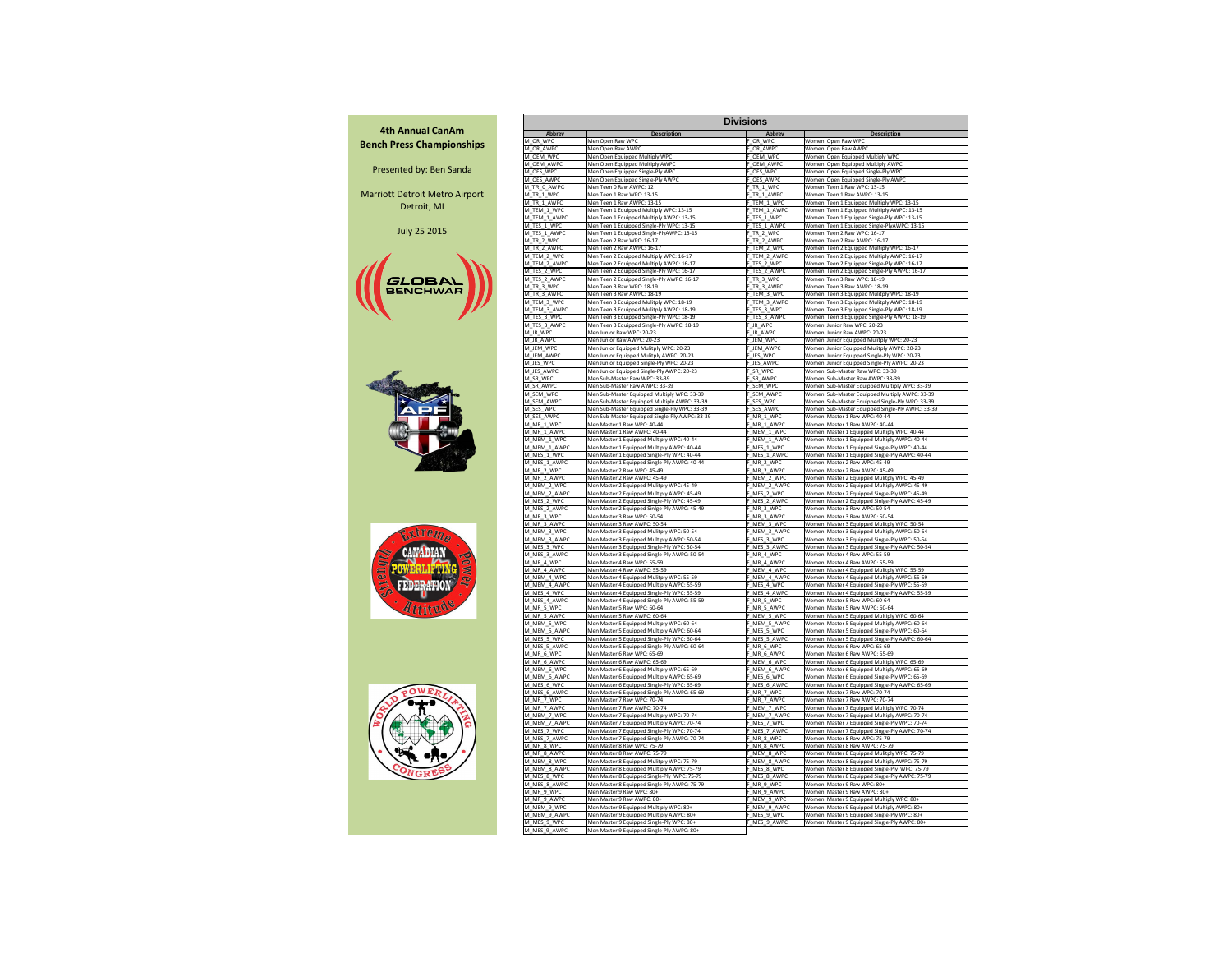| <b>Divisions</b>            |                                                                                             |                             |                                                                                                   |  |  |  |  |  |  |  |  |  |
|-----------------------------|---------------------------------------------------------------------------------------------|-----------------------------|---------------------------------------------------------------------------------------------------|--|--|--|--|--|--|--|--|--|
| Abbrev                      | <b>Description</b>                                                                          | <b>Abbrev</b>               | <b>Description</b>                                                                                |  |  |  |  |  |  |  |  |  |
| M OR WPC                    | Men Open Raw WPC                                                                            | F_OR_WPC                    | Women Open Raw WPC                                                                                |  |  |  |  |  |  |  |  |  |
| M OR AWPC<br>M OEM WPC      | Men Open Raw AWPC<br>Men Open Equipped Multiply WPC                                         | F OR AWPC<br>F OEM WPC      | Women Open Raw AWPC<br>Women Open Equipped Multiply WPC                                           |  |  |  |  |  |  |  |  |  |
| M OEM AWPC                  | Men Open Equipped Multiply AWPC                                                             | F OEM AWPC                  | Women Open Equipped Multiply AWPC                                                                 |  |  |  |  |  |  |  |  |  |
| M_OES_WPC                   | Men Open Equipped Single-Ply WPC                                                            | F OES WPC                   | Women Open Equipped Single-Ply WPC                                                                |  |  |  |  |  |  |  |  |  |
| M_OES_AWPC                  | Men Open Equipped Single-Ply AWPC                                                           | F OES AWPC                  | Women Open Equipped Single-Ply AWPC                                                               |  |  |  |  |  |  |  |  |  |
| M_TR_0_AWPC<br>M_TR_1_WPC   | Men Teen 0 Raw AWPC: 12<br>Men Teen 1 Raw WPC: 13-15                                        | F TR 1 WPC<br>F TR 1 AWPC   | Women Teen 1 Raw WPC: 13-15<br>Women Teen 1 Raw AWPC: 13-15                                       |  |  |  |  |  |  |  |  |  |
| M_TR_1_AWPC                 | Men Teen 1 Raw AWPC: 13-15                                                                  | F_TEM_1_WPC                 | Women Teen 1 Equipped Multiply WPC: 13-15                                                         |  |  |  |  |  |  |  |  |  |
| M_TEM_1_WPC                 | Men Teen 1 Equipped Multiply WPC: 13-15                                                     | F_TEM_1_AWPC                | Women Teen 1 Equipped Multiply AWPC: 13-15                                                        |  |  |  |  |  |  |  |  |  |
| M_TEM_1_AWPC                | Men Teen 1 Equipped Multiply AWPC: 13-15                                                    | F TES 1 WPC                 | Women Teen 1 Equipped Single-Ply WPC: 13-15                                                       |  |  |  |  |  |  |  |  |  |
| M_TES_1_WPC                 | Men Teen 1 Equipped Single-Ply WPC: 13-15                                                   | F TES 1 AWPC                | Women Teen 1 Equipped Single-PlyAWPC: 13-15                                                       |  |  |  |  |  |  |  |  |  |
| M_TES_1_AWPC<br>M_TR_2_WPC  | Men Teen 1 Equipped Single-PlyAWPC: 13-15<br>Men Teen 2 Raw WPC: 16-17                      | F_TR_2_WPC<br>F TR 2 AWPC   | Women Teen 2 Raw WPC: 16-17<br>Women Teen 2 Raw AWPC: 16-17                                       |  |  |  |  |  |  |  |  |  |
| M_TR_2_AWPC                 | Men Teen 2 Raw AWPC: 16-17                                                                  | F_TEM_2_WPC                 | Women Teen 2 Equipped Multiply WPC: 16-17                                                         |  |  |  |  |  |  |  |  |  |
| M_TEM_2_WPC                 | Men Teen 2 Equipped Multiply WPC: 16-17                                                     | F_TEM_2_AWPC                | Women Teen 2 Equipped Multiply AWPC: 16-17                                                        |  |  |  |  |  |  |  |  |  |
| M TEM 2 AWPC                | Men Teen 2 Equipped Multiply AWPC: 16-17                                                    | F TES 2 WPC                 | Women Teen 2 Equipped Single-Ply WPC: 16-17                                                       |  |  |  |  |  |  |  |  |  |
| M_TES_2_WPC<br>M_TES_2_AWPC | Men Teen 2 Equipped Single-Ply WPC: 16-17<br>Men Teen 2 Equipped Single-Ply AWPC: 16-17     | F_TES_2_AWPC<br>F_TR_3_WPC  | Women Teen 2 Equipped Single-Ply AWPC: 16-17<br>Women Teen 3 Raw WPC: 18-19                       |  |  |  |  |  |  |  |  |  |
| M_TR_3_WPC                  | Men Teen 3 Raw WPC: 18-19                                                                   | F_TR_3_AWPC                 | Women Teen 3 Raw AWPC: 18-19                                                                      |  |  |  |  |  |  |  |  |  |
| M_TR_3_AWPC                 | Men Teen 3 Raw AWPC: 18-19                                                                  | F_TEM_3_WPC                 | Women Teen 3 Equipped Mulitply WPC: 18-19                                                         |  |  |  |  |  |  |  |  |  |
| M_TEM_3_WPC                 | Men Teen 3 Equipped Mulitply WPC: 18-19                                                     | F_TEM_3_AWPC                | Women Teen 3 Equipped Mulitply AWPC: 18-19                                                        |  |  |  |  |  |  |  |  |  |
| M_TEM_3_AWPC<br>M_TES_3_WPC | Men Teen 3 Equipped Mulitply AWPC: 18-19<br>Men Teen 3 Equipped Single-Ply WPC: 18-19       | F_TES_3_WPC<br>F_TES_3_AWPC | Women Teen 3 Equipped Single-Ply WPC: 18-19<br>Women Teen 3 Equipped Single-Ply AWPC: 18-19       |  |  |  |  |  |  |  |  |  |
| M TES 3 AWPC                | Men Teen 3 Equipped Single-Ply AWPC: 18-19                                                  | F JR WPC                    | Women Junior Raw WPC: 20-23                                                                       |  |  |  |  |  |  |  |  |  |
| M_JR_WPC                    | Men Junior Raw WPC: 20-23                                                                   | F JR AWPC                   | Women Junior Raw AWPC: 20-23                                                                      |  |  |  |  |  |  |  |  |  |
| M JR AWPC                   | Men Junior Raw AWPC: 20-23                                                                  | F JEM WPC                   | Women Junior Equipped Mulitply WPC: 20-23                                                         |  |  |  |  |  |  |  |  |  |
| M_JEM_WPC                   | Men Junior Equipped Mulitply WPC: 20-23                                                     | F_JEM_AWPC                  | Women Junior Equipped Mulitply AWPC: 20-23<br>Women Junior Equipped Single-Ply WPC: 20-23         |  |  |  |  |  |  |  |  |  |
| M JEM_AWPC<br>M_JES_WPC     | Men Junior Equipped Mulitply AWPC: 20-23<br>Men Junior Equipped Single-Ply WPC: 20-23       | F_JES_WPC<br>F JES AWPC     | Women Junior Equipped Single-Ply AWPC: 20-23                                                      |  |  |  |  |  |  |  |  |  |
| M_JES_AWPC                  | Men Junior Equipped Single-Ply AWPC: 20-23                                                  | F SR WPC                    | Women Sub-Master Raw WPC: 33-39                                                                   |  |  |  |  |  |  |  |  |  |
| M_SR_WPC                    | Men Sub-Master Raw WPC: 33-39                                                               | F_SR_AWPC                   | Women Sub-Master Raw AWPC: 33-39                                                                  |  |  |  |  |  |  |  |  |  |
| M SR AWPC                   | Men Sub-Master Raw AWPC: 33-39                                                              | F_SEM_WPC                   | Women Sub-Master Equipped Multiply WPC: 33-39                                                     |  |  |  |  |  |  |  |  |  |
| M_SEM_WPC<br>M_SEM_AWPC     | Men Sub-Master Equipped Multiply WPC: 33-39<br>Men Sub-Master Equipped Multiply AWPC: 33-39 | F_SEM_AWPC<br>F SES WPC     | Women Sub-Master Equipped Multiply AWPC: 33-39<br>Women Sub-Master Equipped Single-Ply WPC: 33-39 |  |  |  |  |  |  |  |  |  |
| M_SES_WPC                   | Men Sub-Master Equipped Single-Ply WPC: 33-39                                               | F_SES_AWPC                  | Women Sub-Master Equipped Single-Ply AWPC: 33-39                                                  |  |  |  |  |  |  |  |  |  |
| M_SES_AWPC                  | Men Sub-Master Equipped Single-Ply AWPC: 33-39                                              | F_MR_1_WPC                  | Women Master 1 Raw WPC: 40-44                                                                     |  |  |  |  |  |  |  |  |  |
| M_MR_1_WPC                  | Men Master 1 Raw WPC: 40-44                                                                 | F_MR_1_AWPC                 | Women Master 1 Raw AWPC: 40-44                                                                    |  |  |  |  |  |  |  |  |  |
| M_MR_1_AWPC<br>M_MEM_1_WPC  | Men Master 1 Raw AWPC: 40-44<br>Men Master 1 Equipped Multiply WPC: 40-44                   | F MEM 1 WPC<br>F_MEM_1_AWPC | Women Master 1 Equipped Multiply WPC: 40-44<br>Women Master 1 Equipped Multiply AWPC: 40-44       |  |  |  |  |  |  |  |  |  |
| M_MEM_1_AWPC                | Men Master 1 Equipped Multiply AWPC: 40-44                                                  | F_MES_1_WPC                 | Women Master 1 Equipped Single-Ply WPC: 40-44                                                     |  |  |  |  |  |  |  |  |  |
| M MES 1 WPC                 | Men Master 1 Equipped Single-Ply WPC: 40-44                                                 | F_MES_1_AWPC                | Women Master 1 Equipped Single-Ply AWPC: 40-44                                                    |  |  |  |  |  |  |  |  |  |
| M_MES_1_AWPC                | Men Master 1 Equipped Single-Ply AWPC: 40-44                                                | F_MR_2_WPC                  | Women Master 2 Raw WPC: 45-49                                                                     |  |  |  |  |  |  |  |  |  |
| M_MR_2_WPC                  | Men Master 2 Raw WPC: 45-49                                                                 | F_MR_2_AWPC                 | Women Master 2 Raw AWPC: 45-49                                                                    |  |  |  |  |  |  |  |  |  |
| M_MR_2_AWPC<br>M_MEM_2_WPC  | Men Master 2 Raw AWPC: 45-49<br>Men Master 2 Equipped Mulitply WPC: 45-49                   | F_MEM_2_WPC<br>F_MEM_2_AWPC | Women Master 2 Equipped Mulitply WPC: 45-49<br>Women Master 2 Equipped Multiply AWPC: 45-49       |  |  |  |  |  |  |  |  |  |
| M_MEM_2_AWPC                | Men Master 2 Equipped Multiply AWPC: 45-49                                                  | F_MES_2_WPC                 | Women Master 2 Equipped Single-Ply WPC: 45-49                                                     |  |  |  |  |  |  |  |  |  |
| M_MES_2_WPC                 | Men Master 2 Equipped Single-Ply WPC: 45-49                                                 | F_MES_2_AWPC                | Women Master 2 Equipped Sinlge-Ply AWPC: 45-49                                                    |  |  |  |  |  |  |  |  |  |
| M_MES_2_AWPC                | Men Master 2 Equipped Sinlge-Ply AWPC: 45-49                                                | F_MR_3_WPC                  | Women Master 3 Raw WPC: 50-54                                                                     |  |  |  |  |  |  |  |  |  |
| M_MR_3_WPC<br>M_MR_3_AWPC   | Men Master 3 Raw WPC: 50-54<br>Men Master 3 Raw AWPC: 50-54                                 | F_MR_3_AWPC<br>F_MEM_3_WPC  | Women Master 3 Raw AWPC: 50-54<br>Women Master 3 Equipped Mulitply WPC: 50-54                     |  |  |  |  |  |  |  |  |  |
| M_MEM_3_WPC                 | Men Master 3 Equipped Mulitply WPC: 50-54                                                   | F_MEM_3_AWPC                | Women Master 3 Equipped Multiply AWPC: 50-54                                                      |  |  |  |  |  |  |  |  |  |
| M_MEM_3_AWPC                | Men Master 3 Equipped Multiply AWPC: 50-54                                                  | F_MES_3_WPC                 | Women Master 3 Equipped Single-Ply WPC: 50-54                                                     |  |  |  |  |  |  |  |  |  |
| M_MES_3_WPC                 | Men Master 3 Equipped Single-Ply WPC: 50-54                                                 | F_MES_3_AWPC                | Women Master 3 Equipped Single-Ply AWPC: 50-54                                                    |  |  |  |  |  |  |  |  |  |
| M_MES_3_AWPC<br>M_MR_4_WPC  | Men Master 3 Equipped Single-Ply AWPC: 50-54<br>Men Master 4 Raw WPC: 55-59                 | F_MR_4_WPC<br>F MR 4 AWPC   | Women Master 4 Raw WPC: 55-59<br>Women Master 4 Raw AWPC: 55-59                                   |  |  |  |  |  |  |  |  |  |
| M_MR_4_AWPC                 | Men Master 4 Raw AWPC: 55-59                                                                | F_MEM_4_WPC                 | Women Master 4 Equipped Mulitply WPC: 55-59                                                       |  |  |  |  |  |  |  |  |  |
| M_MEM_4_WPC                 | Men Master 4 Equipped Mulitply WPC: 55-59                                                   | F MEM 4 AWPC                | Women Master 4 Equipped Multiply AWPC: 55-59                                                      |  |  |  |  |  |  |  |  |  |
| M_MEM_4_AWPC                | Men Master 4 Equipped Multiply AWPC: 55-59                                                  | F_MES_4_WPC                 | Women Master 4 Equipped Single-Ply WPC: 55-59                                                     |  |  |  |  |  |  |  |  |  |
| M_MES_4_WPC<br>M_MES_4_AWPC | Men Master 4 Equipped Single-Ply WPC: 55-59<br>Men Master 4 Equipped Single-Ply AWPC: 55-59 | F_MES_4_AWPC<br>F_MR_5_WPC  | Women Master 4 Equipped Single-Ply AWPC: 55-59<br>Women Master 5 Raw WPC: 60-64                   |  |  |  |  |  |  |  |  |  |
| M_MR_5_WPC                  | Men Master 5 Raw WPC: 60-64                                                                 | F MR 5 AWPC                 | Women Master 5 Raw AWPC: 60-64                                                                    |  |  |  |  |  |  |  |  |  |
| M_MR_5_AWPC                 | Men Master 5 Raw AWPC: 60-64                                                                | F_MEM_5_WPC                 | Women Master 5 Equipped Multiply WPC: 60-64                                                       |  |  |  |  |  |  |  |  |  |
| M_MEM_5_WPC                 | Men Master 5 Equipped Multiply WPC: 60-64                                                   | F_MEM_5_AWPC                | Women Master 5 Equipped Multiply AWPC: 60-64                                                      |  |  |  |  |  |  |  |  |  |
| M_MEM_5_AWPC<br>M_MES_5_WPC | Men Master 5 Equipped Multiply AWPC: 60-64<br>Men Master 5 Equipped Single-Ply WPC: 60-64   | F MES 5 WPC<br>F MES 5 AWPC | Women Master 5 Equipped Single-Ply WPC: 60-64<br>Women Master 5 Equipped Single-Ply AWPC: 60-64   |  |  |  |  |  |  |  |  |  |
| M_MES_5_AWPC                | Men Master 5 Equipped Single-Ply AWPC: 60-64                                                | F_MR_6_WPC                  | Women Master 6 Raw WPC: 65-69                                                                     |  |  |  |  |  |  |  |  |  |
| M MR 6 WPC                  | Men Master 6 Raw WPC: 65-69                                                                 | F_MR_6_AWPC                 | Women Master 6 Raw AWPC: 65-69                                                                    |  |  |  |  |  |  |  |  |  |
| M_MR_6_AWPC                 | Men Master 6 Raw AWPC: 65-69                                                                | F_MEM_6_WPC                 | Women Master 6 Equipped Multiply WPC: 65-69                                                       |  |  |  |  |  |  |  |  |  |
| M MEM 6 WPC                 | Men Master 6 Equipped Multiply WPC: 65-69                                                   | F MEM 6 AWPC                | Women Master 6 Equipped Multiply AWPC: 65-69                                                      |  |  |  |  |  |  |  |  |  |
| M_MEM_6_AWPC<br>M_MES_6_WPC | Men Master 6 Equipped Multiply AWPC: 65-69<br>Men Master 6 Equipped Single-Ply WPC: 65-69   | F_MES_6_WPC<br>F MES 6 AWPC | Women Master 6 Equipped Single-Ply WPC: 65-69<br>Women Master 6 Equipped Single-Ply AWPC: 65-69   |  |  |  |  |  |  |  |  |  |
| M MES 6 AWPC                | Men Master 6 Equipped Single-Ply AWPC: 65-69                                                | F MR 7 WPC                  | Women Master 7 Raw WPC: 70-74                                                                     |  |  |  |  |  |  |  |  |  |
| M MR 7 WPC                  | Men Master 7 Raw WPC: 70-74                                                                 | F MR 7 AWPC                 | Women Master 7 Raw AWPC: 70-74                                                                    |  |  |  |  |  |  |  |  |  |
| M_MR_7_AWPC                 | Men Master 7 Raw AWPC: 70-74                                                                | F MEM 7 WPC                 | Women Master 7 Equipped Multiply WPC: 70-74                                                       |  |  |  |  |  |  |  |  |  |
| M MEM 7 WPC<br>M_MEM_7_AWPC | Men Master 7 Equipped Multiply WPC: 70-74<br>Men Master 7 Equipped Multiply AWPC: 70-74     | F MEM 7 AWPC<br>F_MES_7_WPC | Women Master 7 Equipped Multiply AWPC: 70-74<br>Women Master 7 Equipped Single-Ply WPC: 70-74     |  |  |  |  |  |  |  |  |  |
| M_MES_7_WPC                 | Men Master 7 Equipped Single-Ply WPC: 70-74                                                 | F MES 7 AWPC                | Women Master 7 Equipped Single-Ply AWPC: 70-74                                                    |  |  |  |  |  |  |  |  |  |
| M MES 7 AWPC                | Men Master 7 Equipped Single-Ply AWPC: 70-74                                                | F MR 8 WPC                  | Women Master 8 Raw WPC: 75-79                                                                     |  |  |  |  |  |  |  |  |  |
| M_MR_8_WPC                  | Men Master 8 Raw WPC: 75-79                                                                 | F MR 8 AWPC                 | Women Master 8 Raw AWPC: 75-79                                                                    |  |  |  |  |  |  |  |  |  |
| M_MR_8_AWPC<br>M MEM 8 WPC  | Men Master 8 Raw AWPC: 75-79<br>Men Master 8 Equipped Mulitply WPC: 75-79                   | F_MEM_8_WPC<br>F MEM 8 AWPC | Women Master 8 Equipped Mulitply WPC: 75-79<br>Women Master 8 Equipped Multiply AWPC: 75-79       |  |  |  |  |  |  |  |  |  |
| M MEM 8 AWPC                | Men Master 8 Equipped Multiply AWPC: 75-79                                                  | F_MES_8_WPC                 | Women Master 8 Equipped Single-Ply WPC: 75-79                                                     |  |  |  |  |  |  |  |  |  |
| M_MES_8_WPC                 | Men Master 8 Equipped Single-Ply WPC: 75-79                                                 | F_MES_8_AWPC                | Women Master 8 Equipped Single-Ply AWPC: 75-79                                                    |  |  |  |  |  |  |  |  |  |
| M_MES_8_AWPC                | Men Master 8 Equipped Single-Ply AWPC: 75-79                                                | F_MR_9_WPC                  | Women Master 9 Raw WPC: 80+                                                                       |  |  |  |  |  |  |  |  |  |
| M_MR_9_WPC<br>M_MR_9_AWPC   | Men Master 9 Raw WPC: 80+<br>Men Master 9 Raw AWPC: 80+                                     | F_MR_9_AWPC<br>F_MEM_9_WPC  | Women Master 9 Raw AWPC: 80+<br>Women Master 9 Equipped Multiply WPC: 80+                         |  |  |  |  |  |  |  |  |  |
| M_MEM_9_WPC                 | Men Master 9 Equipped Multiply WPC: 80+                                                     | F_MEM_9_AWPC                | Women Master 9 Equipped Multiply AWPC: 80+                                                        |  |  |  |  |  |  |  |  |  |
| M MEM 9 AWPC                | Men Master 9 Equipped Multiply AWPC: 80+                                                    | F MES 9 WPC                 | Women Master 9 Equipped Single-Ply WPC: 80+                                                       |  |  |  |  |  |  |  |  |  |
| M_MES_9_WPC                 | Men Master 9 Equipped Single-Ply WPC: 80+                                                   | F_MES_9_AWPC                | Women Master 9 Equipped Single-Ply AWPC: 80+                                                      |  |  |  |  |  |  |  |  |  |
| M_MES_9_AWPC                | Men Master 9 Equipped Single-Ply AWPC: 80+                                                  |                             |                                                                                                   |  |  |  |  |  |  |  |  |  |

# **4th Annual CanAm Bench Press Championships**

Presented by: Ben Sanda

Marriott Detroit Metro Airport Detroit, MI

July 25 2015







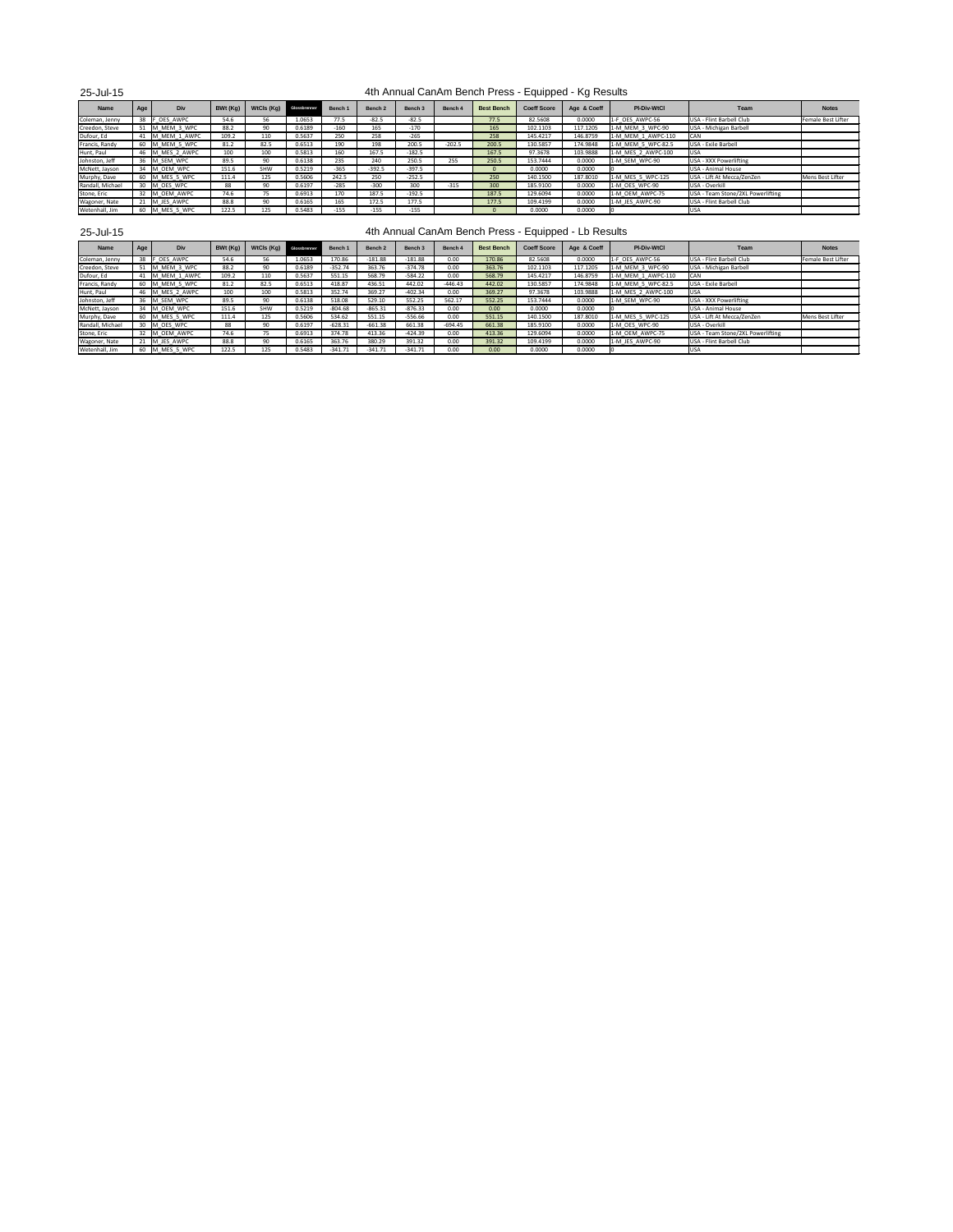## 25-Jul-15

| <b>Name</b>      | Age | <b>Div</b>      | BWt (Kg) | WtCls (Kg) | Glossbrenner | <b>Bench 1</b> | Bench 2  | Bench 3  | Bench 4  | <b>Best Bench</b> | <b>Coeff Score</b> | Age & Coeff | <b>PI-Div-WtCl</b> | Team                              | <b>Notes</b>       |
|------------------|-----|-----------------|----------|------------|--------------|----------------|----------|----------|----------|-------------------|--------------------|-------------|--------------------|-----------------------------------|--------------------|
| Coleman, Jenny   | 38  | OES_AWPC        | 54.6     | 56         | 1.0653       | 77.5           | $-82.5$  | $-82.5$  |          | 77.5              | 82.5608            | 0.0000      | 1-F_OES_AWPC-56    | USA - Flint Barbell Club          | Female Best Lifter |
| Creedon, Steve   | 51  | M MEM 3 WPC     | 88.2     | 90         | 0.6189       | $-160$         | 165      | $-170$   |          | 165               | 102.1103           | 117.1205    | 1-M MEM 3 WPC-90   | USA - Michigan Barbell            |                    |
| Dufour, Ed       |     | 41 M_MEM_1_AWPC | 109.2    | 110        | 0.5637       | 250            | 258      | $-265$   |          | 258               | 145.4217           | 146.8759    | 1-M_MEM_1_AWPC-110 | <b>CAN</b>                        |                    |
| Francis, Randy   |     | 60 M MEM 5 WPC  | 81.2     | 82.5       | 0.6513       | 190            | 198      | 200.5    | $-202.5$ | 200.5             | 130.5857           | 174.9848    | 1-M_MEM_5_WPC-82.5 | USA - Exile Barbell               |                    |
| Hunt, Paul       |     | 46 M MES 2 AWPC | 100      | 100        | 0.5813       | 160            | 167.5    | $-182.5$ |          | 167.5             | 97.3678            | 103.9888    | 1-M_MES_2_AWPC-100 | <b>USA</b>                        |                    |
| Johnston, Jeff   |     | 36   M_SEM_WPC  | 89.5     | 90         | 0.6138       | 235            | 240      | 250.5    | 255      | 250.5             | 153.7444           | 0.0000      | 1-M_SEM_WPC-90     | USA - XXX Powerlifting            |                    |
| McNett, Jayson   |     | 34 M OEM WPC    | 151.6    | <b>SHW</b> | 0.5219       | $-365$         | $-392.5$ | $-397.5$ |          |                   | 0.0000             | 0.0000      |                    | USA - Animal House                |                    |
| Murphy, Dave     |     | 60 M MES 5 WPC  | 111.4    | 125        | 0.5606       | 242.5          | 250      | $-252.5$ |          | 250               | 140.1500           | 187.8010    | 1-M_MES_5_WPC-125  | USA - Lift At Mecca/ZenZen        | Mens Best Lifter   |
| Randall, Michael |     | M OES WPC       | 88       | 90         | 0.6197       | $-285$         | $-300$   | 300      | $-315$   | 300               | 185.9100           | 0.0000      | 1-M OES WPC-90     | USA - Overkill                    |                    |
| Stone, Eric      |     | 32 M_OEM_AWPC   | 74.6     | 75.        | 0.6913       | 170            | 187.5    | $-192.5$ |          | 187.5             | 129.6094           | 0.0000      | 1-M_OEM_AWPC-75    | USA - Team Stone/2XL Powerlifting |                    |
| Wagoner, Nate    |     | 21 M JES AWPC   | 88.8     | 90         | 0.6165       | 165            | 172.5    | 177.5    |          | 177.5             | 109.4199           | 0.0000      | 1-M JES AWPC-90    | USA - Flint Barbell Club          |                    |
| Wetenhall, Jim   | 60  | M_MES_5_WPC     | 122.5    | 125        | 0.5483       | $-155$         | $-155$   | $-155$   |          |                   | 0.0000             | 0.0000      |                    | <b>IUSA</b>                       |                    |

## 25-Jul-15

| <b>Name</b>      | Age | <b>Div</b>   | BWt (Kg) | WtCls (Kg) | Glossbrenner | <b>Bench 1</b> | Bench <sub>2</sub> | Bench 3   | Bench 4   | <b>Best Bench</b> | <b>Coeff Score</b> | Age & Coeff | <b>PI-Div-WtCl</b> | Team                              | <b>Notes</b>       |
|------------------|-----|--------------|----------|------------|--------------|----------------|--------------------|-----------|-----------|-------------------|--------------------|-------------|--------------------|-----------------------------------|--------------------|
| Coleman, Jenny   | 38  | OES AWPC     | 54.6     | 56         | 1.0653       | 170.86         | $-181.88$          | $-181.88$ | 0.00      | 170.86            | 82.5608            | 0.0000      | 1-F OES AWPC-56    | USA - Flint Barbell Club          | Female Best Lifter |
| Creedon, Steve   | 51  | M MEM 3 WPC  | 88.2     | 90         | 0.6189       | $-352.74$      | 363.76             | $-374.78$ | 0.00      | 363.76            | 102.1103           | 117.1205    | 1-M MEM 3 WPC-90   | USA - Michigan Barbell            |                    |
| Dufour, Ed       |     | M MEM 1 AWPC | 109.2    | 110        | 0.5637       | 551.15         | 568.79             | $-584.22$ | 0.00      | 568.79            | 145.4217           | 146.8759    | 1-M MEM 1 AWPC-110 | CAN                               |                    |
| Francis, Randy   | 60  | M_MEM_5_WPC  | 81.2     | 82.5       | 0.6513       | 418.87         | 436.51             | 442.02    | $-446.43$ | 442.02            | 130.5857           | 174.9848    | 1-M_MEM_5_WPC-82.5 | USA - Exile Barbell               |                    |
| Hunt, Paul       | 46  | M MES 2 AWPC | 100      | 100        | 0.5813       | 352.74         | 369.27             | $-402.34$ | 0.00      | 369.27            | 97.3678            | 103.9888    | 1-M_MES_2_AWPC-100 | <b>USA</b>                        |                    |
| Johnston, Jeff   | 36  | M SEM WPC    | 89.5     | 90         | 0.6138       | 518.08         | 529.10             | 552.25    | 562.17    | 552.25            | 153.7444           | 0.0000      | 1-M SEM WPC-90     | USA - XXX Powerlifting            |                    |
| McNett, Jayson   | 34  | M OEM WPC    | 151.6    | <b>SHW</b> | 0.5219       | $-804.68$      | $-865.31$          | $-876.33$ | 0.00      | 0.00              | 0.0000             | 0.0000      |                    | USA - Animal House                |                    |
| Murphy, Dave     | 60  | M_MES_5_WPC  | 111.4    | 125        | 0.5606       | 534.62         | 551.15             | $-556.66$ | 0.00      | 551.15            | 140.1500           | 187.8010    | 1-M_MES_5_WPC-125  | USA - Lift At Mecca/ZenZen        | Mens Best Lifter   |
| Randall, Michael | 30  | M OES WPC    | 88       | 90         | 0.6197       | $-628.31$      | $-661.38$          | 661.38    | $-694.45$ | 661.38            | 185.9100           | 0.0000      | 1-M OES WPC-90     | USA - Overkill                    |                    |
| Stone, Eric      | 32  | M OEM AWPC   | 74.6     | 75         | 0.6913       | 374.78         | 413.36             | $-424.39$ | 0.00      | 413.36            | 129.6094           | 0.0000      | 1-M_OEM_AWPC-75    | USA - Team Stone/2XL Powerlifting |                    |
| Wagoner, Nate    | 21  | M JES AWPC   | 88.8     | 90         | 0.6165       | 363.76         | 380.29             | 391.32    | 0.00      | 391.32            | 109.4199           | 0.0000      | 1-M JES AWPC-90    | USA - Flint Barbell Club          |                    |
| Wetenhall, Jim   | 60  | M_MES_5_WPC  | 122.5    | 125        | 0.5483       | $-341.71$      | $-341.71$          | $-341.71$ | 0.00      | 0.00              | 0.0000             | 0.0000      |                    | <b>USA</b>                        |                    |

# 4th Annual CanAm Bench Press - Equipped - Kg Results

# 4th Annual CanAm Bench Press - Equipped - Lb Results